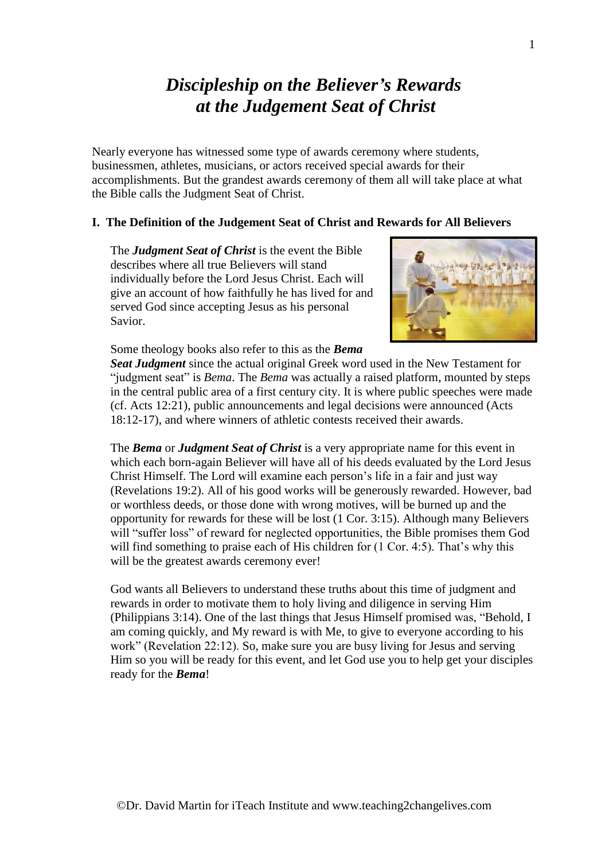# *Discipleship on the Believer's Rewards at the Judgement Seat of Christ*

Nearly everyone has witnessed some type of awards ceremony where students, businessmen, athletes, musicians, or actors received special awards for their accomplishments. But the grandest awards ceremony of them all will take place at what the Bible calls the Judgment Seat of Christ.

## **I. The Definition of the Judgement Seat of Christ and Rewards for All Believers**

The *Judgment Seat of Christ* is the event the Bible describes where all true Believers will stand individually before the Lord Jesus Christ. Each will give an account of how faithfully he has lived for and served God since accepting Jesus as his personal Savior.



Some theology books also refer to this as the *Bema* 

*Seat Judgment* since the actual original Greek word used in the New Testament for "judgment seat" is *Bema*. The *Bema* was actually a raised platform, mounted by steps in the central public area of a first century city. It is where public speeches were made (cf. Acts 12:21), public announcements and legal decisions were announced (Acts 18:12-17), and where winners of athletic contests received their awards.

The *Bema* or *Judgment Seat of Christ* is a very appropriate name for this event in which each born-again Believer will have all of his deeds evaluated by the Lord Jesus Christ Himself. The Lord will examine each person's life in a fair and just way (Revelations 19:2). All of his good works will be generously rewarded. However, bad or worthless deeds, or those done with wrong motives, will be burned up and the opportunity for rewards for these will be lost (1 Cor. 3:15). Although many Believers will "suffer loss" of reward for neglected opportunities, the Bible promises them God will find something to praise each of His children for  $(1 \text{ Cor. } 4:5)$ . That's why this will be the greatest awards ceremony ever!

God wants all Believers to understand these truths about this time of judgment and rewards in order to motivate them to holy living and diligence in serving Him (Philippians 3:14). One of the last things that Jesus Himself promised was, "Behold, I am coming quickly, and My reward is with Me, to give to everyone according to his work" (Revelation 22:12). So, make sure you are busy living for Jesus and serving Him so you will be ready for this event, and let God use you to help get your disciples ready for the *Bema*!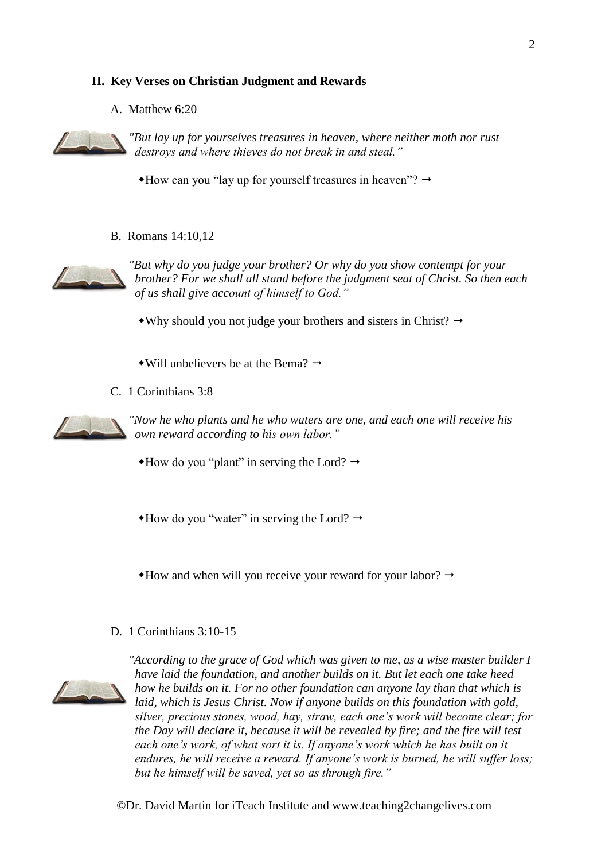## **II. Key Verses on Christian Judgment and Rewards**

A. Matthew 6:20



*"But lay up for yourselves treasures in heaven, where neither moth nor rust destroys and where thieves do not break in and steal."*

 $*$ How can you "lay up for yourself treasures in heaven"?  $\rightarrow$ 

B. Romans 14:10,12



*"But why do you judge your brother? Or why do you show contempt for your brother? For we shall all stand before the judgment seat of Christ. So then each of us shall give account of himself to God."*

• Why should you not judge your brothers and sisters in Christ?  $\rightarrow$ 

- $\rightarrow$ Will unbelievers be at the Bema?  $\rightarrow$
- C. 1 Corinthians 3:8



*"Now he who plants and he who waters are one, and each one will receive his own reward according to his own labor."*

 $\triangle$ How do you "plant" in serving the Lord?  $\rightarrow$ 

 $\triangle$ How do you "water" in serving the Lord?  $\rightarrow$ 

 $*$ How and when will you receive your reward for your labor?  $\rightarrow$ 

D. 1 Corinthians 3:10-15



*"According to the grace of God which was given to me, as a wise master builder I have laid the foundation, and another builds on it. But let each one take heed how he builds on it. For no other foundation can anyone lay than that which is laid, which is Jesus Christ. Now if anyone builds on this foundation with gold, silver, precious stones, wood, hay, straw, each one's work will become clear; for the Day will declare it, because it will be revealed by fire; and the fire will test each one's work, of what sort it is. If anyone's work which he has built on it endures, he will receive a reward. If anyone's work is burned, he will suffer loss; but he himself will be saved, yet so as through fire."*

©Dr. David Martin for iTeach Institute and www.teaching2changelives.com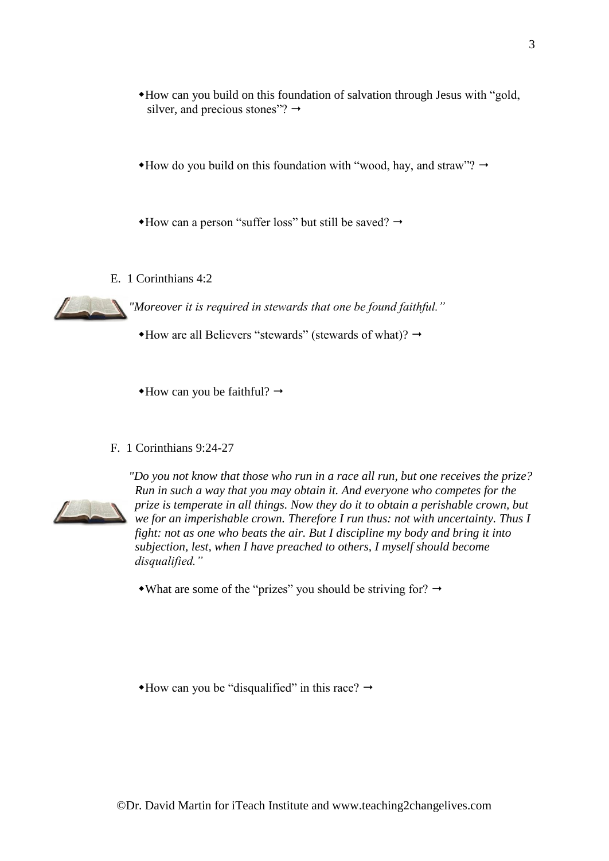- How can you build on this foundation of salvation through Jesus with "gold, silver, and precious stones"?  $\rightarrow$
- $*$ How do you build on this foundation with "wood, hay, and straw"?  $\rightarrow$

 $*$ How can a person "suffer loss" but still be saved?  $\rightarrow$ 

E. 1 Corinthians 4:2

*"Moreover it is required in stewards that one be found faithful."*

 $*$ How are all Believers "stewards" (stewards of what)?  $\rightarrow$ 

 $\triangleleft$ How can you be faithful?  $\rightarrow$ 

F. 1 Corinthians 9:24-27



*"Do you not know that those who run in a race all run, but one receives the prize? Run in such a way that you may obtain it. And everyone who competes for the prize is temperate in all things. Now they do it to obtain a perishable crown, but we for an imperishable crown. Therefore I run thus: not with uncertainty. Thus I fight: not as one who beats the air. But I discipline my body and bring it into subjection, lest, when I have preached to others, I myself should become disqualified."*

• What are some of the "prizes" you should be striving for?  $\rightarrow$ 

 $*$ How can you be "disqualified" in this race?  $\rightarrow$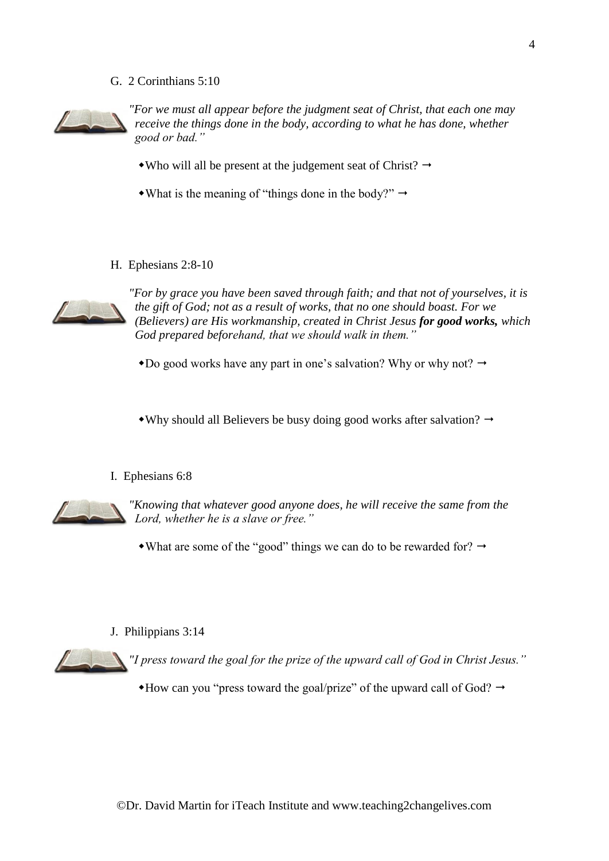G. 2 Corinthians 5:10



*"For we must all appear before the judgment seat of Christ, that each one may receive the things done in the body, according to what he has done, whether good or bad."*

- Who will all be present at the judgement seat of Christ?  $\rightarrow$
- What is the meaning of "things done in the body?"  $\rightarrow$
- H. Ephesians 2:8-10



*"For by grace you have been saved through faith; and that not of yourselves, it is the gift of God; not as a result of works, that no one should boast. For we (Believers) are His workmanship, created in Christ Jesus for good works, which God prepared beforehand, that we should walk in them."*

 $\bullet$  Do good works have any part in one's salvation? Why or why not?  $\rightarrow$ 

• Why should all Believers be busy doing good works after salvation?  $\rightarrow$ 

#### I. Ephesians 6:8



*"Knowing that whatever good anyone does, he will receive the same from the Lord, whether he is a slave or free."*

• What are some of the "good" things we can do to be rewarded for?  $\rightarrow$ 

#### J. Philippians 3:14

*"I press toward the goal for the prize of the upward call of God in Christ Jesus."*

 $*$ How can you "press toward the goal/prize" of the upward call of God?  $\rightarrow$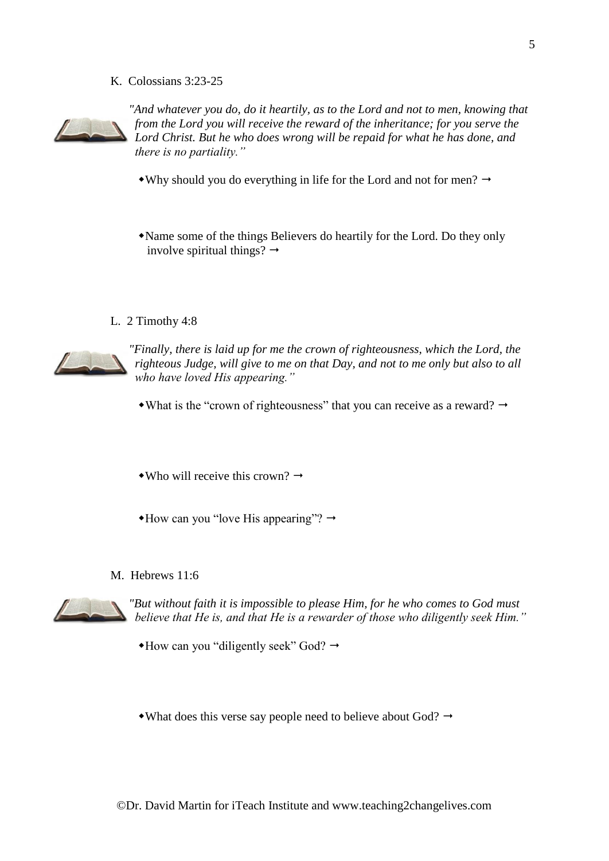K. Colossians 3:23-25



"And whatever you do, do it heartily, as to the Lord and not to men, knowing that *from the Lord you will receive the reward of the inheritance; for you serve the Lord Christ. But he who does wrong will be repaid for what he has done, and there is no partiality."*

- Why should you do everything in life for the Lord and not for men?  $\rightarrow$
- Name some of the things Believers do heartily for the Lord. Do they only involve spiritual things?  $\rightarrow$
- L. 2 Timothy 4:8



*"Finally, there is laid up for me the crown of righteousness, which the Lord, the righteous Judge, will give to me on that Day, and not to me only but also to all who have loved His appearing."*

- What is the "crown of righteousness" that you can receive as a reward?  $\rightarrow$
- Who will receive this crown?  $\rightarrow$
- $*$ How can you "love His appearing"?  $\rightarrow$
- M. Hebrews 11:6



*"But without faith it is impossible to please Him, for he who comes to God must believe that He is, and that He is a rewarder of those who diligently seek Him."*

 $*$ How can you "diligently seek" God?  $\rightarrow$ 

• What does this verse say people need to believe about God?  $\rightarrow$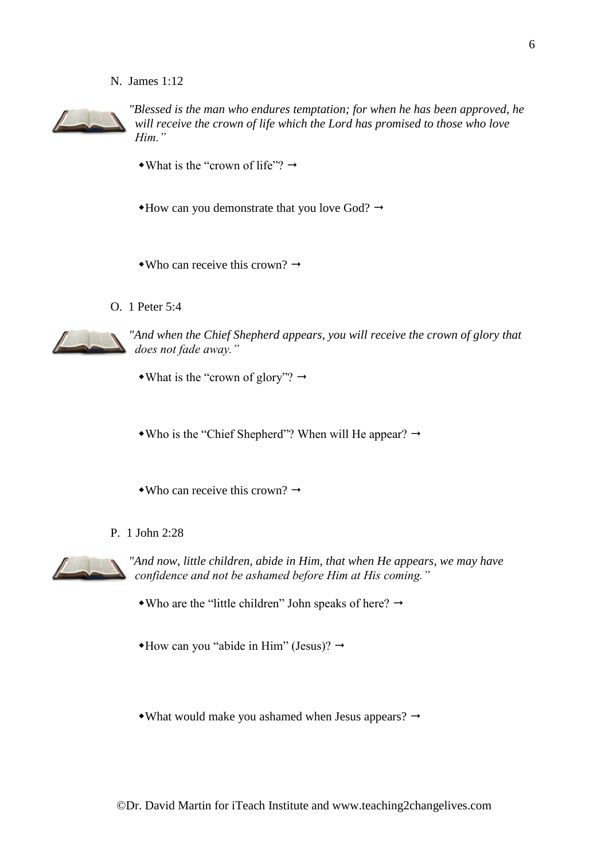N. James 1:12



*"Blessed is the man who endures temptation; for when he has been approved, he will receive the crown of life which the Lord has promised to those who love Him."*

- What is the "crown of life"?  $\rightarrow$
- $*$ How can you demonstrate that you love God?  $\rightarrow$
- Who can receive this crown?  $\rightarrow$
- O. 1 Peter 5:4



*"And when the Chief Shepherd appears, you will receive the crown of glory that does not fade away."*

• What is the "crown of glory"?  $\rightarrow$ 

• Who is the "Chief Shepherd"? When will He appear?  $\rightarrow$ 

- $\bullet$ Who can receive this crown?  $\rightarrow$
- P. 1 John 2:28



*"And now, little children, abide in Him, that when He appears, we may have confidence and not be ashamed before Him at His coming."*

• Who are the "little children" John speaks of here?  $\rightarrow$ 

 $\triangleleft$ How can you "abide in Him" (Jesus)?  $\rightarrow$ 

• What would make you ashamed when Jesus appears?  $\rightarrow$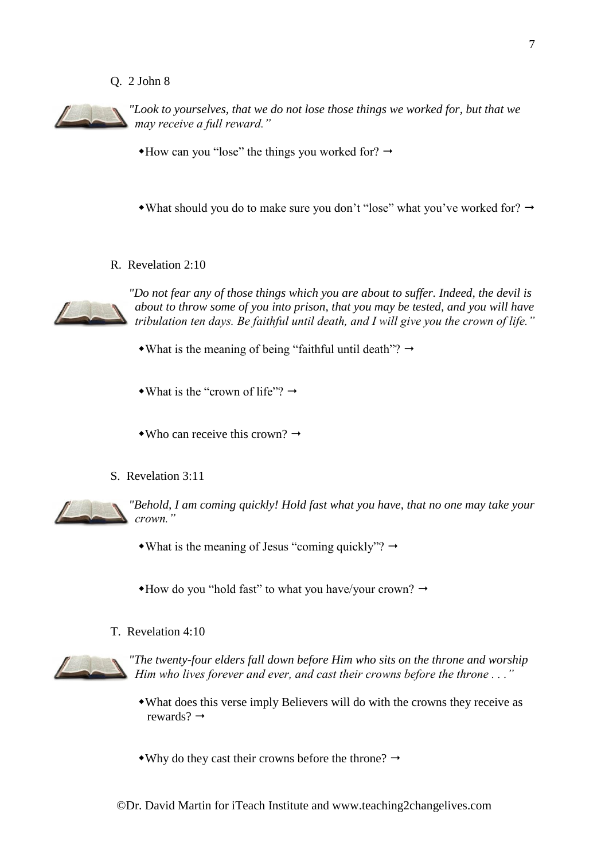### Q. 2 John 8



*"Look to yourselves, that we do not lose those things we worked for, but that we may receive a full reward."*

 $*$ How can you "lose" the things you worked for?  $\rightarrow$ 

• What should you do to make sure you don't "lose" what you've worked for?  $\rightarrow$ 

R. Revelation 2:10



*"Do not fear any of those things which you are about to suffer. Indeed, the devil is about to throw some of you into prison, that you may be tested, and you will have tribulation ten days. Be faithful until death, and I will give you the crown of life."*

• What is the meaning of being "faithful until death"?  $\rightarrow$ 

• What is the "crown of life"?  $\rightarrow$ 

• Who can receive this crown?  $\rightarrow$ 

S. Revelation 3:11



*"Behold, I am coming quickly! Hold fast what you have, that no one may take your crown."*

• What is the meaning of Jesus "coming quickly"?  $\rightarrow$ 

 $*$ How do you "hold fast" to what you have/your crown?  $\rightarrow$ 

T. Revelation 4:10



*"The twenty-four elders fall down before Him who sits on the throne and worship Him who lives forever and ever, and cast their crowns before the throne . . ."*

- What does this verse imply Believers will do with the crowns they receive as rewards?  $\rightarrow$
- Why do they cast their crowns before the throne?  $\rightarrow$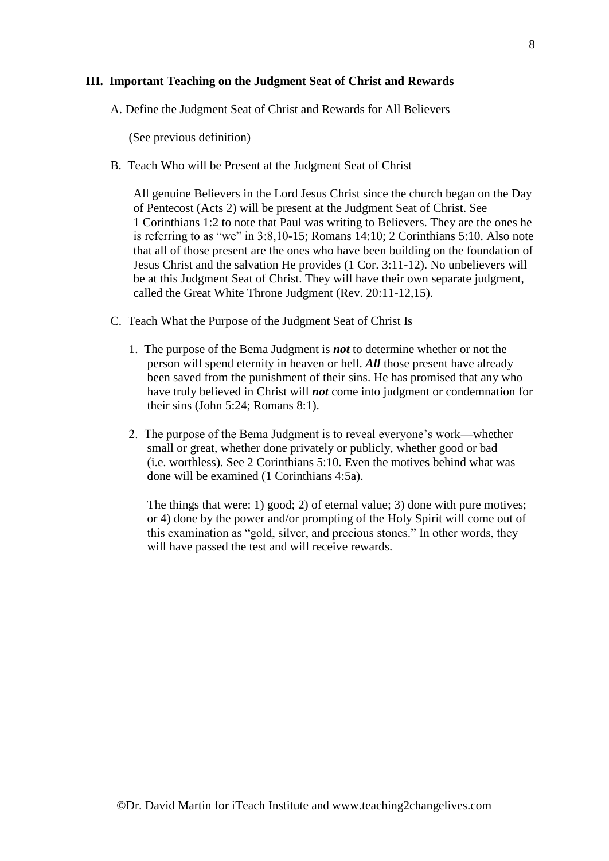## **III. Important Teaching on the Judgment Seat of Christ and Rewards**

A. Define the Judgment Seat of Christ and Rewards for All Believers

(See previous definition)

B. Teach Who will be Present at the Judgment Seat of Christ

All genuine Believers in the Lord Jesus Christ since the church began on the Day of Pentecost (Acts 2) will be present at the Judgment Seat of Christ. See 1 Corinthians 1:2 to note that Paul was writing to Believers. They are the ones he is referring to as "we" in 3:8,10-15; Romans 14:10; 2 Corinthians 5:10. Also note that all of those present are the ones who have been building on the foundation of Jesus Christ and the salvation He provides (1 Cor. 3:11-12). No unbelievers will be at this Judgment Seat of Christ. They will have their own separate judgment, called the Great White Throne Judgment (Rev. 20:11-12,15).

- C. Teach What the Purpose of the Judgment Seat of Christ Is
	- 1. The purpose of the Bema Judgment is *not* to determine whether or not the person will spend eternity in heaven or hell. *All* those present have already been saved from the punishment of their sins. He has promised that any who have truly believed in Christ will *not* come into judgment or condemnation for their sins (John 5:24; Romans 8:1).
	- 2. The purpose of the Bema Judgment is to reveal everyone's work—whether small or great, whether done privately or publicly, whether good or bad (i.e. worthless). See 2 Corinthians 5:10. Even the motives behind what was done will be examined (1 Corinthians 4:5a).

The things that were: 1) good; 2) of eternal value; 3) done with pure motives; or 4) done by the power and/or prompting of the Holy Spirit will come out of this examination as "gold, silver, and precious stones." In other words, they will have passed the test and will receive rewards.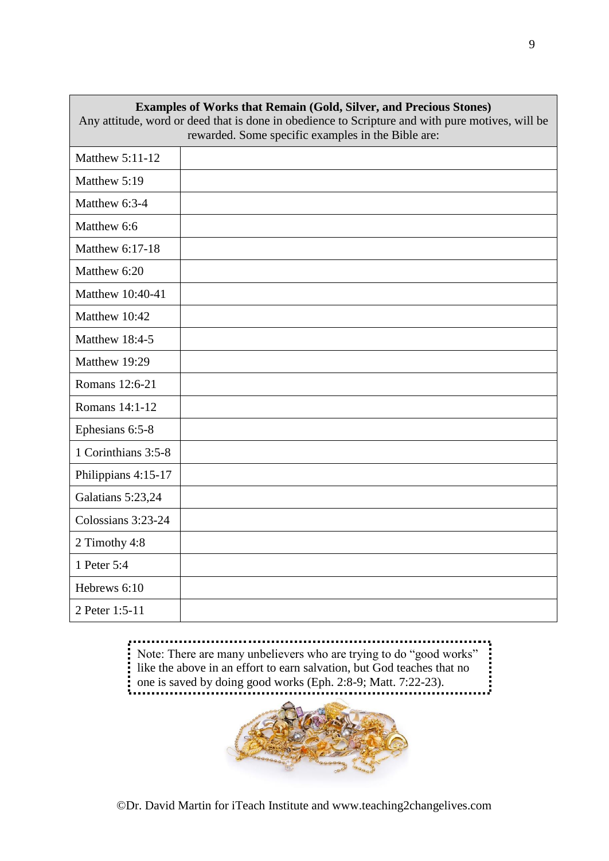| <b>Examples of Works that Remain (Gold, Silver, and Precious Stones)</b><br>Any attitude, word or deed that is done in obedience to Scripture and with pure motives, will be |                                                    |  |
|------------------------------------------------------------------------------------------------------------------------------------------------------------------------------|----------------------------------------------------|--|
|                                                                                                                                                                              | rewarded. Some specific examples in the Bible are: |  |
| <b>Matthew 5:11-12</b>                                                                                                                                                       |                                                    |  |
| Matthew 5:19                                                                                                                                                                 |                                                    |  |
| Matthew 6:3-4                                                                                                                                                                |                                                    |  |
| Matthew 6:6                                                                                                                                                                  |                                                    |  |
| Matthew 6:17-18                                                                                                                                                              |                                                    |  |
| Matthew 6:20                                                                                                                                                                 |                                                    |  |
| Matthew 10:40-41                                                                                                                                                             |                                                    |  |
| Matthew 10:42                                                                                                                                                                |                                                    |  |
| Matthew 18:4-5                                                                                                                                                               |                                                    |  |
| Matthew 19:29                                                                                                                                                                |                                                    |  |
| Romans 12:6-21                                                                                                                                                               |                                                    |  |
| Romans 14:1-12                                                                                                                                                               |                                                    |  |
| Ephesians 6:5-8                                                                                                                                                              |                                                    |  |
| 1 Corinthians 3:5-8                                                                                                                                                          |                                                    |  |
| Philippians 4:15-17                                                                                                                                                          |                                                    |  |
| Galatians 5:23,24                                                                                                                                                            |                                                    |  |
| Colossians 3:23-24                                                                                                                                                           |                                                    |  |
| 2 Timothy 4:8                                                                                                                                                                |                                                    |  |
| 1 Peter 5:4                                                                                                                                                                  |                                                    |  |
| Hebrews 6:10                                                                                                                                                                 |                                                    |  |
| 2 Peter 1:5-11                                                                                                                                                               |                                                    |  |

..................... In Note: There are many unbelievers who are trying to do "good works" like the above in an effort to earn salvation, but God teaches that no Note: There are many unbelievers who are trying to do "good works" one is saved by doing good works (Eph. 2:8-9; Matt. 7:22-23).

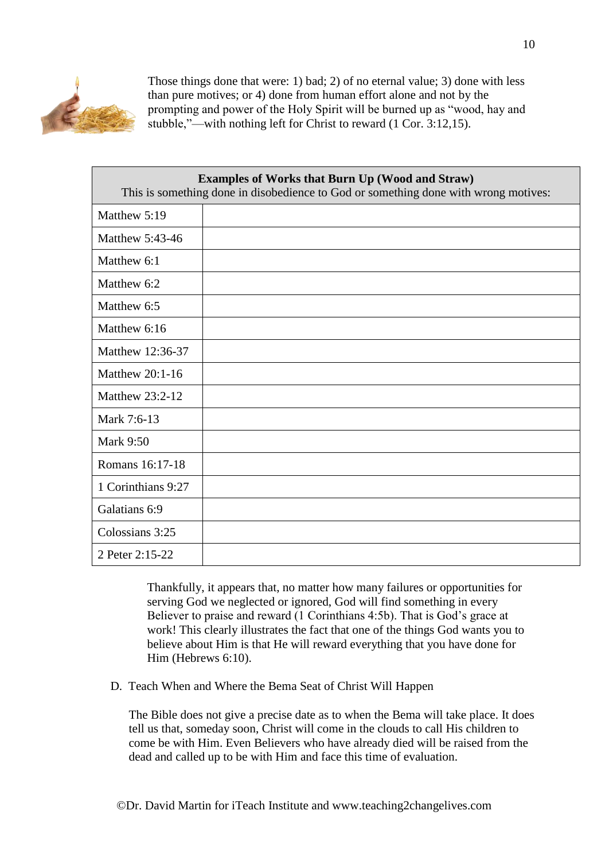

Those things done that were: 1) bad; 2) of no eternal value; 3) done with less than pure motives; or 4) done from human effort alone and not by the prompting and power of the Holy Spirit will be burned up as "wood, hay and stubble,"—with nothing left for Christ to reward (1 Cor. 3:12,15).

| <b>Examples of Works that Burn Up (Wood and Straw)</b><br>This is something done in disobedience to God or something done with wrong motives: |  |
|-----------------------------------------------------------------------------------------------------------------------------------------------|--|
| Matthew 5:19                                                                                                                                  |  |
| Matthew 5:43-46                                                                                                                               |  |
| Matthew 6:1                                                                                                                                   |  |
| Matthew 6:2                                                                                                                                   |  |
| Matthew 6:5                                                                                                                                   |  |
| Matthew 6:16                                                                                                                                  |  |
| Matthew 12:36-37                                                                                                                              |  |
| Matthew $20:1-16$                                                                                                                             |  |
| Matthew 23:2-12                                                                                                                               |  |
| Mark 7:6-13                                                                                                                                   |  |
| <b>Mark 9:50</b>                                                                                                                              |  |
| Romans 16:17-18                                                                                                                               |  |
| 1 Corinthians 9:27                                                                                                                            |  |
| Galatians 6:9                                                                                                                                 |  |
| Colossians 3:25                                                                                                                               |  |
| 2 Peter 2:15-22                                                                                                                               |  |

Thankfully, it appears that, no matter how many failures or opportunities for serving God we neglected or ignored, God will find something in every Believer to praise and reward (1 Corinthians 4:5b). That is God's grace at work! This clearly illustrates the fact that one of the things God wants you to believe about Him is that He will reward everything that you have done for Him (Hebrews 6:10).

D. Teach When and Where the Bema Seat of Christ Will Happen

The Bible does not give a precise date as to when the Bema will take place. It does tell us that, someday soon, Christ will come in the clouds to call His children to come be with Him. Even Believers who have already died will be raised from the dead and called up to be with Him and face this time of evaluation.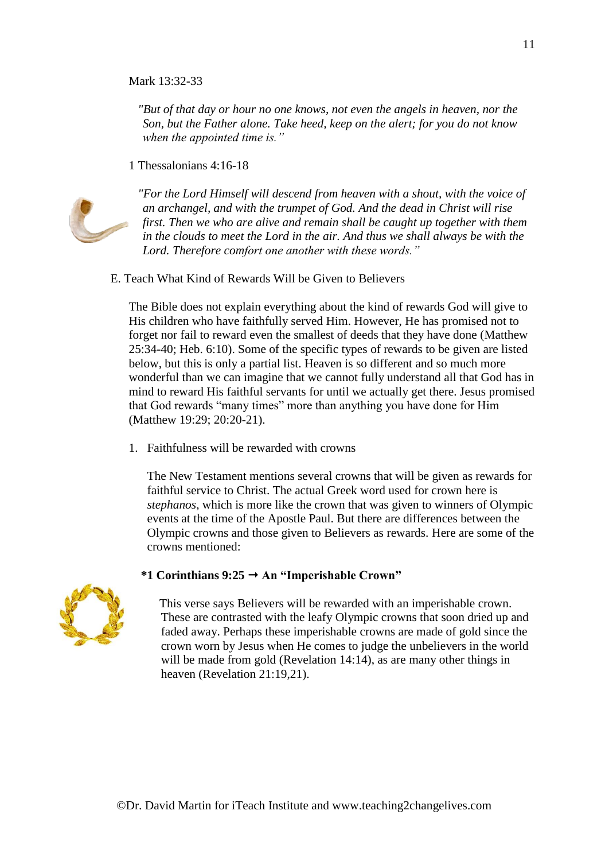## Mark 13:32-33

*"But of that day or hour no one knows, not even the angels in heaven, nor the Son, but the Father alone. Take heed, keep on the alert; for you do not know when the appointed time is."*

1 Thessalonians 4:16-18



*"For the Lord Himself will descend from heaven with a shout, with the voice of an archangel, and with the trumpet of God. And the dead in Christ will rise first. Then we who are alive and remain shall be caught up together with them in the clouds to meet the Lord in the air. And thus we shall always be with the Lord. Therefore comfort one another with these words."*

E. Teach What Kind of Rewards Will be Given to Believers

The Bible does not explain everything about the kind of rewards God will give to His children who have faithfully served Him. However, He has promised not to forget nor fail to reward even the smallest of deeds that they have done (Matthew 25:34-40; Heb. 6:10). Some of the specific types of rewards to be given are listed below, but this is only a partial list. Heaven is so different and so much more wonderful than we can imagine that we cannot fully understand all that God has in mind to reward His faithful servants for until we actually get there. Jesus promised that God rewards "many times" more than anything you have done for Him (Matthew 19:29; 20:20-21).

1. Faithfulness will be rewarded with crowns

The New Testament mentions several crowns that will be given as rewards for faithful service to Christ. The actual Greek word used for crown here is *stephanos*, which is more like the crown that was given to winners of Olympic events at the time of the Apostle Paul. But there are differences between the Olympic crowns and those given to Believers as rewards. Here are some of the crowns mentioned:

#### **\*1 Corinthians 9:25 An "Imperishable Crown"**



This verse says Believers will be rewarded with an imperishable crown. These are contrasted with the leafy Olympic crowns that soon dried up and faded away. Perhaps these imperishable crowns are made of gold since the crown worn by Jesus when He comes to judge the unbelievers in the world will be made from gold (Revelation 14:14), as are many other things in heaven (Revelation 21:19,21).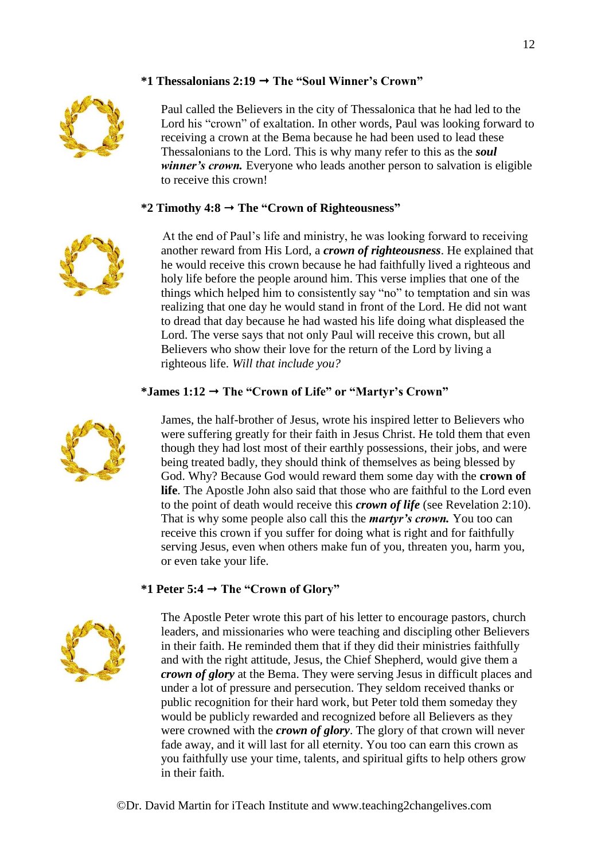# **\*1 Thessalonians 2:19 The "Soul Winner's Crown"**



Paul called the Believers in the city of Thessalonica that he had led to the Lord his "crown" of exaltation. In other words, Paul was looking forward to receiving a crown at the Bema because he had been used to lead these Thessalonians to the Lord. This is why many refer to this as the *soul winner's crown.* Everyone who leads another person to salvation is eligible to receive this crown!

## **\*2 Timothy 4:8 The "Crown of Righteousness"**



 At the end of Paul's life and ministry, he was looking forward to receiving another reward from His Lord, a *crown of righteousness*. He explained that he would receive this crown because he had faithfully lived a righteous and holy life before the people around him. This verse implies that one of the things which helped him to consistently say "no" to temptation and sin was realizing that one day he would stand in front of the Lord. He did not want to dread that day because he had wasted his life doing what displeased the Lord. The verse says that not only Paul will receive this crown, but all Believers who show their love for the return of the Lord by living a righteous life. *Will that include you?*

## **\*James 1:12 The "Crown of Life" or "Martyr's Crown"**



# **\*1 Peter 5:4 The "Crown of Glory"**



The Apostle Peter wrote this part of his letter to encourage pastors, church leaders, and missionaries who were teaching and discipling other Believers in their faith. He reminded them that if they did their ministries faithfully and with the right attitude, Jesus, the Chief Shepherd, would give them a *crown of glory* at the Bema. They were serving Jesus in difficult places and under a lot of pressure and persecution. They seldom received thanks or public recognition for their hard work, but Peter told them someday they would be publicly rewarded and recognized before all Believers as they were crowned with the *crown of glory*. The glory of that crown will never fade away, and it will last for all eternity. You too can earn this crown as you faithfully use your time, talents, and spiritual gifts to help others grow in their faith.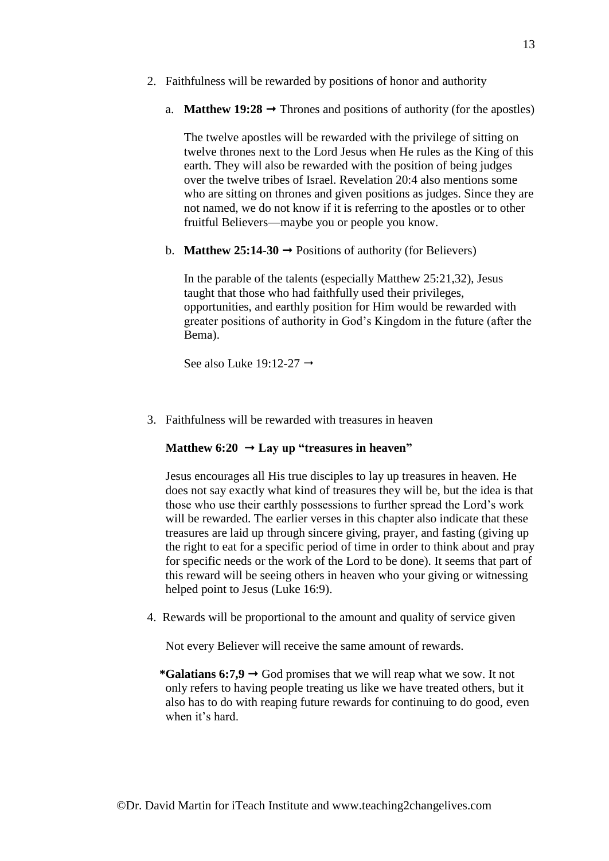- 2. Faithfulness will be rewarded by positions of honor and authority
	- a. **Matthew 19:28**  $\rightarrow$  Thrones and positions of authority (for the apostles)

The twelve apostles will be rewarded with the privilege of sitting on twelve thrones next to the Lord Jesus when He rules as the King of this earth. They will also be rewarded with the position of being judges over the twelve tribes of Israel. Revelation 20:4 also mentions some who are sitting on thrones and given positions as judges. Since they are not named, we do not know if it is referring to the apostles or to other fruitful Believers—maybe you or people you know.

b. **Matthew 25:14-30**  $\rightarrow$  Positions of authority (for Believers)

In the parable of the talents (especially Matthew 25:21,32), Jesus taught that those who had faithfully used their privileges, opportunities, and earthly position for Him would be rewarded with greater positions of authority in God's Kingdom in the future (after the Bema).

See also Luke 19:12-27  $\rightarrow$ 

3. Faithfulness will be rewarded with treasures in heaven

#### **Matthew 6:20**  $\rightarrow$  **Lay up "treasures in heaven"**

Jesus encourages all His true disciples to lay up treasures in heaven. He does not say exactly what kind of treasures they will be, but the idea is that those who use their earthly possessions to further spread the Lord's work will be rewarded. The earlier verses in this chapter also indicate that these treasures are laid up through sincere giving, prayer, and fasting (giving up the right to eat for a specific period of time in order to think about and pray for specific needs or the work of the Lord to be done). It seems that part of this reward will be seeing others in heaven who your giving or witnessing helped point to Jesus (Luke 16:9).

4. Rewards will be proportional to the amount and quality of service given

Not every Believer will receive the same amount of rewards.

\*Galatians  $6:7,9 \rightarrow$  God promises that we will reap what we sow. It not only refers to having people treating us like we have treated others, but it also has to do with reaping future rewards for continuing to do good, even when it's hard.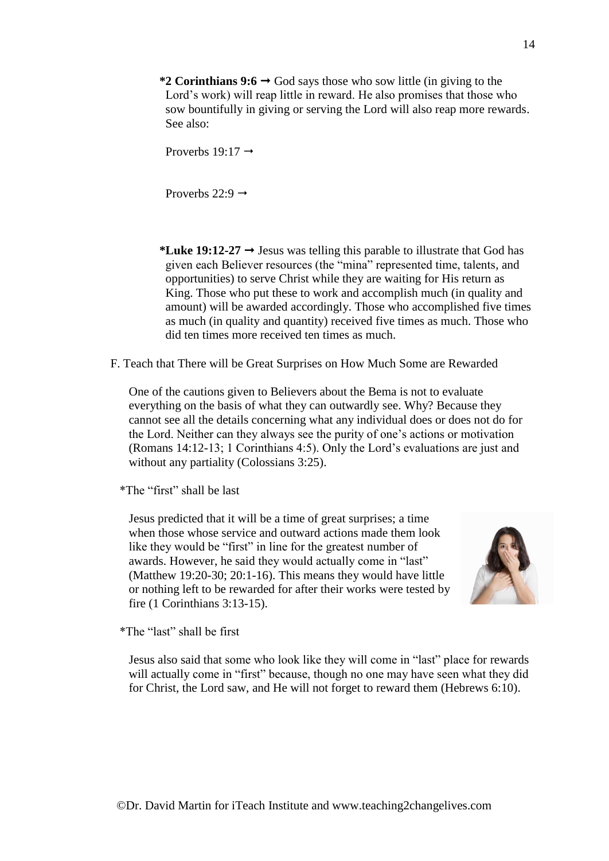\*2 Corinthians  $9:6 \rightarrow$  God says those who sow little (in giving to the Lord's work) will reap little in reward. He also promises that those who sow bountifully in giving or serving the Lord will also reap more rewards. See also:

Proverbs  $19:17 \rightarrow$ 

Proverbs  $22:9 \rightarrow$ 

\*Luke 19:12-27  $\rightarrow$  Jesus was telling this parable to illustrate that God has given each Believer resources (the "mina" represented time, talents, and opportunities) to serve Christ while they are waiting for His return as King. Those who put these to work and accomplish much (in quality and amount) will be awarded accordingly. Those who accomplished five times as much (in quality and quantity) received five times as much. Those who did ten times more received ten times as much.

F. Teach that There will be Great Surprises on How Much Some are Rewarded

One of the cautions given to Believers about the Bema is not to evaluate everything on the basis of what they can outwardly see. Why? Because they cannot see all the details concerning what any individual does or does not do for the Lord. Neither can they always see the purity of one's actions or motivation (Romans 14:12-13; 1 Corinthians 4:5). Only the Lord's evaluations are just and without any partiality (Colossians 3:25).

\*The "first" shall be last

Jesus predicted that it will be a time of great surprises; a time when those whose service and outward actions made them look like they would be "first" in line for the greatest number of awards. However, he said they would actually come in "last" (Matthew 19:20-30; 20:1-16). This means they would have little or nothing left to be rewarded for after their works were tested by fire (1 Corinthians 3:13-15).



\*The "last" shall be first

Jesus also said that some who look like they will come in "last" place for rewards will actually come in "first" because, though no one may have seen what they did for Christ, the Lord saw, and He will not forget to reward them (Hebrews 6:10).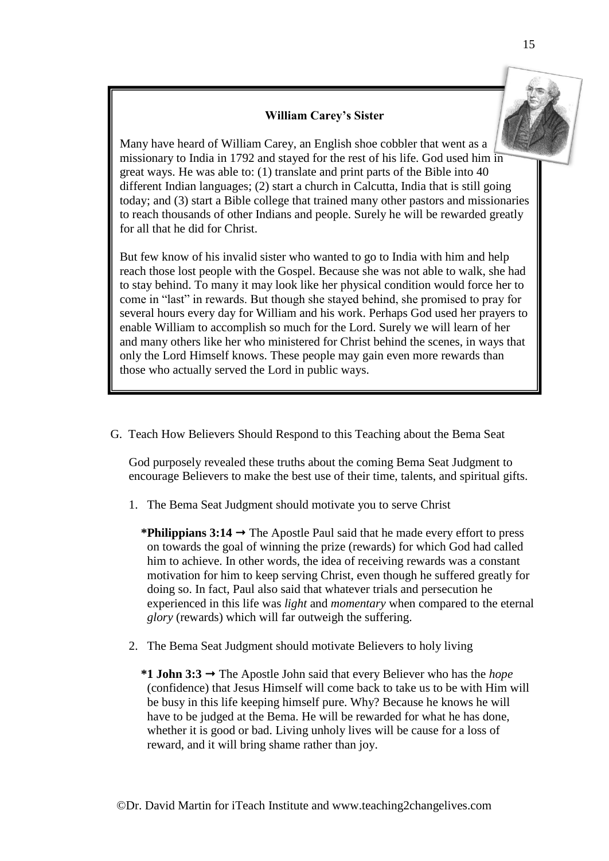# **William Carey's Sister**

 $\parallel$  Many have heard of William Carey, an English shoe cobbler that went as a missionary to India in 1792 and stayed for the rest of his life. God used him in missionary to make the  $17.22$  and stayed for the fest of this life. Sold ased into 40 great ways. He was able to: (1) translate and print parts of the Bible into 40 different Indian languages; (2) start a church in Calcutta, India that is still going today; and (3) start a Bible college that trained many other pastors and missionaries to reach thousands of other Indians and people. Surely he will be rewarded greatly for all that he did for Christ.

But few know of his invalid sister who wanted to go to India with him and help reach those lost people with the Gospel. Because she was not able to walk, she had to stay behind. To many it may look like her physical condition would force her to come in "last" in rewards. But though she stayed behind, she promised to pray for several hours every day for William and his work. Perhaps God used her prayers to enable William to accomplish so much for the Lord. Surely we will learn of her and many others like her who ministered for Christ behind the scenes, in ways that only the Lord Himself knows. These people may gain even more rewards than those who actually served the Lord in public ways.

G. Teach How Believers Should Respond to this Teaching about the Bema Seat

God purposely revealed these truths about the coming Bema Seat Judgment to encourage Believers to make the best use of their time, talents, and spiritual gifts.

1. The Bema Seat Judgment should motivate you to serve Christ

\***Philippians 3:14**  $\rightarrow$  The Apostle Paul said that he made every effort to press on towards the goal of winning the prize (rewards) for which God had called him to achieve. In other words, the idea of receiving rewards was a constant motivation for him to keep serving Christ, even though he suffered greatly for doing so. In fact, Paul also said that whatever trials and persecution he experienced in this life was *light* and *momentary* when compared to the eternal *glory* (rewards) which will far outweigh the suffering.

- 2. The Bema Seat Judgment should motivate Believers to holy living
	- \*1 **John 3:3**  $\rightarrow$  The Apostle John said that every Believer who has the *hope* (confidence) that Jesus Himself will come back to take us to be with Him will be busy in this life keeping himself pure. Why? Because he knows he will have to be judged at the Bema. He will be rewarded for what he has done, whether it is good or bad. Living unholy lives will be cause for a loss of reward, and it will bring shame rather than joy.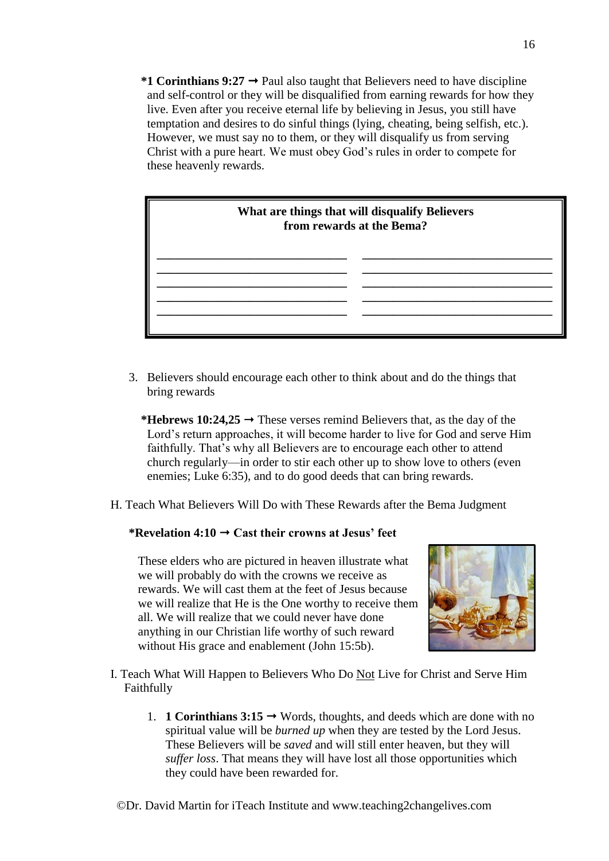\*1 Corinthians  $9:27 \rightarrow$  Paul also taught that Believers need to have discipline and self-control or they will be disqualified from earning rewards for how they live. Even after you receive eternal life by believing in Jesus, you still have temptation and desires to do sinful things (lying, cheating, being selfish, etc.). However, we must say no to them, or they will disqualify us from serving Christ with a pure heart. We must obey God's rules in order to compete for these heavenly rewards.



3. Believers should encourage each other to think about and do the things that bring rewards

\***Hebrews 10:24,25**  $\rightarrow$  These verses remind Believers that, as the day of the Lord's return approaches, it will become harder to live for God and serve Him faithfully. That's why all Believers are to encourage each other to attend church regularly—in order to stir each other up to show love to others (even enemies; Luke 6:35), and to do good deeds that can bring rewards.

H. Teach What Believers Will Do with These Rewards after the Bema Judgment

# \*Revelation  $4:10 \rightarrow$  Cast their crowns at Jesus' feet

These elders who are pictured in heaven illustrate what we will probably do with the crowns we receive as rewards. We will cast them at the feet of Jesus because we will realize that He is the One worthy to receive them all. We will realize that we could never have done anything in our Christian life worthy of such reward without His grace and enablement (John 15:5b).



- I. Teach What Will Happen to Believers Who Do Not Live for Christ and Serve Him Faithfully
	- 1. **1 Corinthians 3:15**  $\rightarrow$  Words, thoughts, and deeds which are done with no spiritual value will be *burned up* when they are tested by the Lord Jesus. These Believers will be *saved* and will still enter heaven, but they will *suffer loss*. That means they will have lost all those opportunities which they could have been rewarded for.